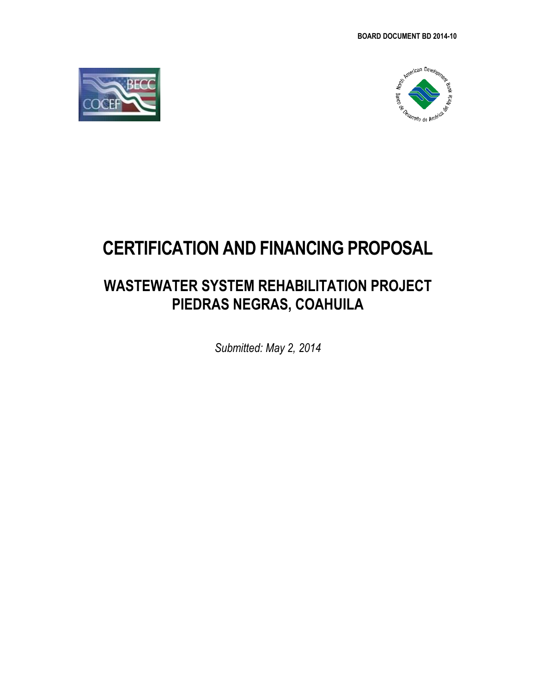



# **CERTIFICATION AND FINANCING PROPOSAL**

# **WASTEWATER SYSTEM REHABILITATION PROJECT PIEDRAS NEGRAS, COAHUILA**

*Submitted: May 2, 2014*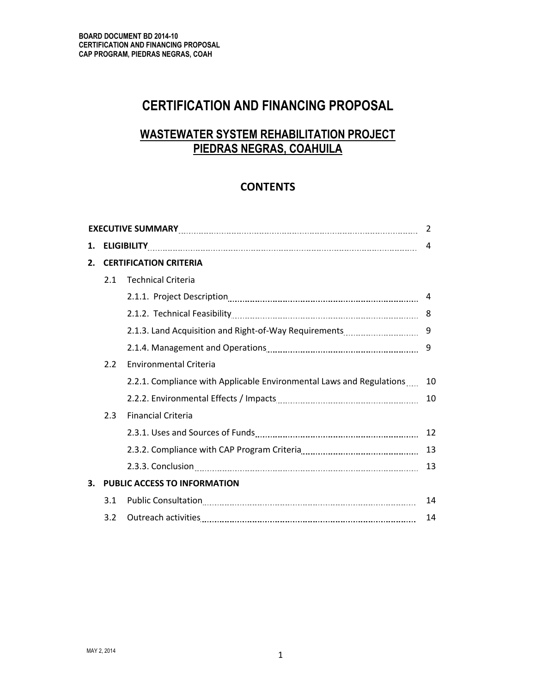# **CERTIFICATION AND FINANCING PROPOSAL**

# **WASTEWATER SYSTEM REHABILITATION PROJECT PIEDRAS NEGRAS, COAHUILA**

# **CONTENTS**

|    |     |                                                                      | 2   |
|----|-----|----------------------------------------------------------------------|-----|
| 1. |     |                                                                      | 4   |
| 2. |     | <b>CERTIFICATION CRITERIA</b>                                        |     |
|    | 2.1 | <b>Technical Criteria</b>                                            |     |
|    |     |                                                                      |     |
|    |     |                                                                      | -8  |
|    |     | 2.1.3. Land Acquisition and Right-of-Way Requirements                | 9   |
|    |     |                                                                      | -9  |
|    | 2.2 | <b>Environmental Criteria</b>                                        |     |
|    |     | 2.2.1. Compliance with Applicable Environmental Laws and Regulations | -10 |
|    |     |                                                                      | 10  |
|    | 2.3 | <b>Financial Criteria</b>                                            |     |
|    |     |                                                                      | 12  |
|    |     |                                                                      | 13  |
|    |     |                                                                      | 13  |
| 3. |     | <b>PUBLIC ACCESS TO INFORMATION</b>                                  |     |
|    | 3.1 |                                                                      | 14  |
|    | 3.2 |                                                                      | 14  |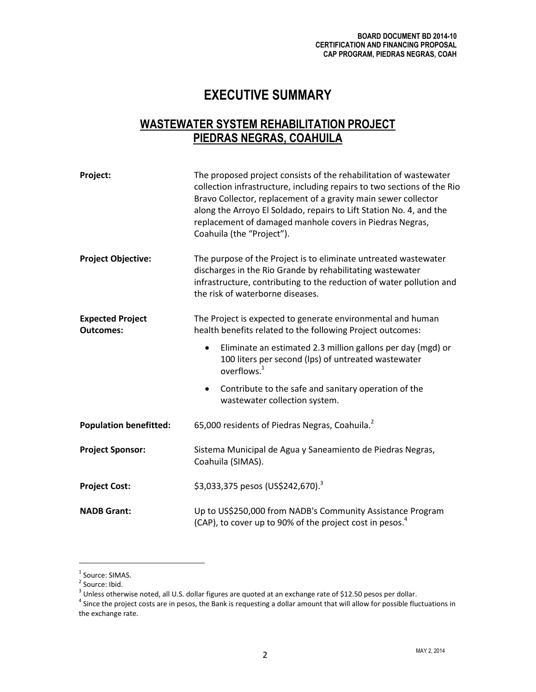# **EXECUTIVE SUMMARY**

# **WASTEWATER SYSTEM REHABILITATION PROJECT PIEDRAS NEGRAS, COAHUILA**

| Project:                                    | The proposed project consists of the rehabilitation of wastewater<br>collection infrastructure, including repairs to two sections of the Rio<br>Bravo Collector, replacement of a gravity main sewer collector<br>along the Arroyo El Soldado, repairs to Lift Station No. 4, and the<br>replacement of damaged manhole covers in Piedras Negras,<br>Coahuila (the "Project"). |
|---------------------------------------------|--------------------------------------------------------------------------------------------------------------------------------------------------------------------------------------------------------------------------------------------------------------------------------------------------------------------------------------------------------------------------------|
| <b>Project Objective:</b>                   | The purpose of the Project is to eliminate untreated wastewater<br>discharges in the Rio Grande by rehabilitating wastewater<br>infrastructure, contributing to the reduction of water pollution and<br>the risk of waterborne diseases.                                                                                                                                       |
| <b>Expected Project</b><br><b>Outcomes:</b> | The Project is expected to generate environmental and human<br>health benefits related to the following Project outcomes:                                                                                                                                                                                                                                                      |
|                                             | Eliminate an estimated 2.3 million gallons per day (mgd) or<br>$\bullet$<br>100 liters per second (lps) of untreated wastewater<br>overflows. <sup>1</sup>                                                                                                                                                                                                                     |
|                                             | Contribute to the safe and sanitary operation of the<br>$\bullet$<br>wastewater collection system.                                                                                                                                                                                                                                                                             |
| <b>Population benefitted:</b>               | 65,000 residents of Piedras Negras, Coahuila. <sup>2</sup>                                                                                                                                                                                                                                                                                                                     |
| <b>Project Sponsor:</b>                     | Sistema Municipal de Agua y Saneamiento de Piedras Negras,<br>Coahuila (SIMAS).                                                                                                                                                                                                                                                                                                |
| <b>Project Cost:</b>                        | \$3,033,375 pesos (US\$242,670). <sup>3</sup>                                                                                                                                                                                                                                                                                                                                  |
| <b>NADB Grant:</b>                          | Up to US\$250,000 from NADB's Community Assistance Program<br>(CAP), to cover up to 90% of the project cost in pesos. $4$                                                                                                                                                                                                                                                      |

<sup>&</sup>lt;sup>1</sup> Source: SIMAS.

<sup>&</sup>lt;sup>2</sup> Source: Ibid.

 $^3$  Unless otherwise noted, all U.S. dollar figures are quoted at an exchange rate of \$12.50 pesos per dollar.

<sup>&</sup>lt;sup>4</sup> Since the project costs are in pesos, the Bank is requesting a dollar amount that will allow for possible fluctuations in the exchange rate.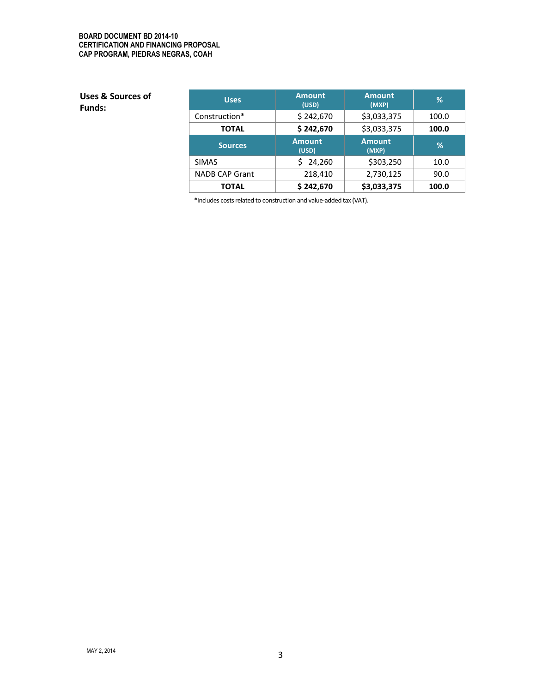#### **BOARD DOCUMENT BD 2014-10 CERTIFICATION AND FINANCING PROPOSAL CAP PROGRAM, PIEDRAS NEGRAS, COAH**

### **Uses & Sources of Funds:**

| <b>Uses</b>           | <b>Amount</b><br>(USD) | <b>Amount</b><br>(MXP) | %     |
|-----------------------|------------------------|------------------------|-------|
| Construction*         | \$242,670              | \$3,033,375            | 100.0 |
| <b>TOTAL</b>          | \$242,670              | \$3,033,375            | 100.0 |
| <b>Sources</b>        | <b>Amount</b><br>(USD) | <b>Amount</b><br>(MXP) | %     |
|                       |                        |                        |       |
| <b>SIMAS</b>          | 24,260                 | \$303,250              | 10.0  |
| <b>NADB CAP Grant</b> | 218,410                | 2,730,125              | 90.0  |

\*Includes costs related to construction and value-added tax (VAT).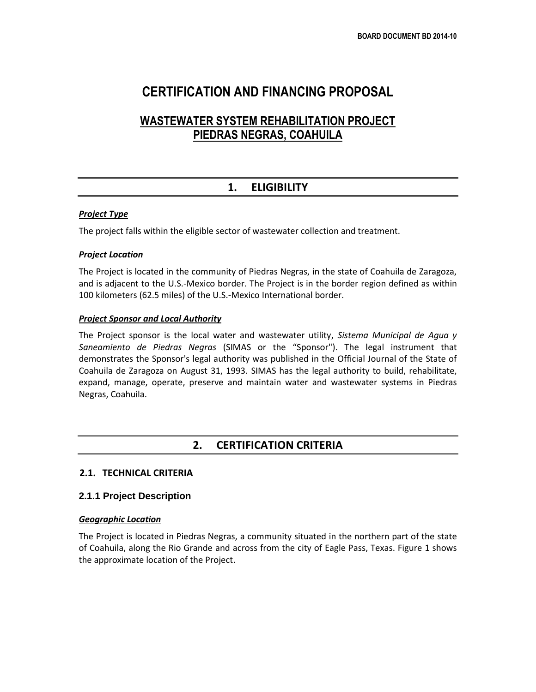# **CERTIFICATION AND FINANCING PROPOSAL**

# **WASTEWATER SYSTEM REHABILITATION PROJECT PIEDRAS NEGRAS, COAHUILA**

# **1. ELIGIBILITY**

# *Project Type*

The project falls within the eligible sector of wastewater collection and treatment.

## *Project Location*

The Project is located in the community of Piedras Negras, in the state of Coahuila de Zaragoza, and is adjacent to the U.S.-Mexico border. The Project is in the border region defined as within 100 kilometers (62.5 miles) of the U.S.-Mexico International border.

## *Project Sponsor and Local Authority*

The Project sponsor is the local water and wastewater utility, *Sistema Municipal de Agua y Saneamiento de Piedras Negras* (SIMAS or the "Sponsor"). The legal instrument that demonstrates the Sponsor's legal authority was published in the Official Journal of the State of Coahuila de Zaragoza on August 31, 1993. SIMAS has the legal authority to build, rehabilitate, expand, manage, operate, preserve and maintain water and wastewater systems in Piedras Negras, Coahuila.

# **2. CERTIFICATION CRITERIA**

# **2.1. TECHNICAL CRITERIA**

# **2.1.1 Project Description**

### *Geographic Location*

The Project is located in Piedras Negras, a community situated in the northern part of the state of Coahuila, along the Rio Grande and across from the city of Eagle Pass, Texas. Figure 1 shows the approximate location of the Project.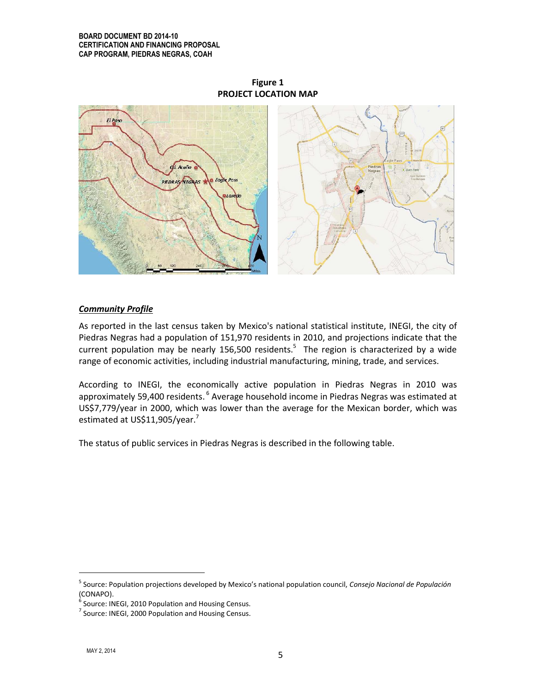**Figure 1 PROJECT LOCATION MAP**



# *Community Profile*

As reported in the last census taken by Mexico's national statistical institute, INEGI, the city of Piedras Negras had a population of 151,970 residents in 2010, and projections indicate that the current population may be nearly 156,500 residents. 5 The region is characterized by a wide range of economic activities, including industrial manufacturing, mining, trade, and services.

According to INEGI, the economically active population in Piedras Negras in 2010 was approximately 59,400 residents. <sup>6</sup> Average household income in Piedras Negras was estimated at US\$7,779/year in 2000, which was lower than the average for the Mexican border, which was estimated at US\$11,905/year.<sup>7</sup>

The status of public services in Piedras Negras is described in the following table.

 $\overline{a}$ 

<sup>5</sup> Source: Population projections developed by Mexico's national population council, *Consejo Nacional de Populación* (CONAPO).

<sup>&</sup>lt;sup>6</sup> Source: INEGI, 2010 Population and Housing Census.

<sup>&</sup>lt;sup>7</sup> Source: INEGI, 2000 Population and Housing Census.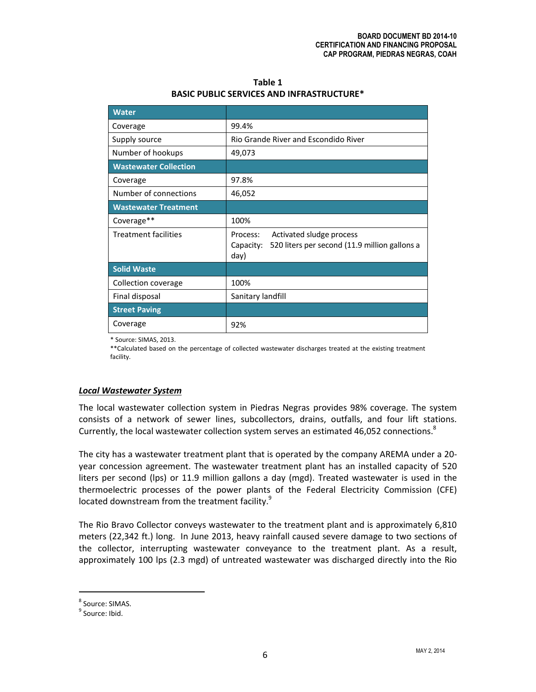| <b>Water</b>                 |                                                                                                            |
|------------------------------|------------------------------------------------------------------------------------------------------------|
| Coverage                     | 99.4%                                                                                                      |
| Supply source                | Rio Grande River and Escondido River                                                                       |
| Number of hookups            | 49,073                                                                                                     |
| <b>Wastewater Collection</b> |                                                                                                            |
| Coverage                     | 97.8%                                                                                                      |
| Number of connections        | 46,052                                                                                                     |
| <b>Wastewater Treatment</b>  |                                                                                                            |
| Coverage**                   | 100%                                                                                                       |
| <b>Treatment facilities</b>  | Activated sludge process<br>Process:<br>520 liters per second (11.9 million gallons a<br>Capacity:<br>day) |
| <b>Solid Waste</b>           |                                                                                                            |
| Collection coverage          | 100%                                                                                                       |
| Final disposal               | Sanitary landfill                                                                                          |
| <b>Street Paving</b>         |                                                                                                            |
| Coverage                     | 92%                                                                                                        |

**Table 1 BASIC PUBLIC SERVICES AND INFRASTRUCTURE\***

\* Source: SIMAS, 2013.

\*\*Calculated based on the percentage of collected wastewater discharges treated at the existing treatment facility.

# *Local Wastewater System*

The local wastewater collection system in Piedras Negras provides 98% coverage. The system consists of a network of sewer lines, subcollectors, drains, outfalls, and four lift stations. Currently, the local wastewater collection system serves an estimated 46,052 connections.<sup>8</sup>

The city has a wastewater treatment plant that is operated by the company AREMA under a 20 year concession agreement. The wastewater treatment plant has an installed capacity of 520 liters per second (lps) or 11.9 million gallons a day (mgd). Treated wastewater is used in the thermoelectric processes of the power plants of the Federal Electricity Commission (CFE) located downstream from the treatment facility. $^{9}$ 

The Rio Bravo Collector conveys wastewater to the treatment plant and is approximately 6,810 meters (22,342 ft.) long. In June 2013, heavy rainfall caused severe damage to two sections of the collector, interrupting wastewater conveyance to the treatment plant. As a result, approximately 100 lps (2.3 mgd) of untreated wastewater was discharged directly into the Rio

<sup>8</sup> Source: SIMAS.

<sup>&</sup>lt;sup>9</sup> Source: Ibid.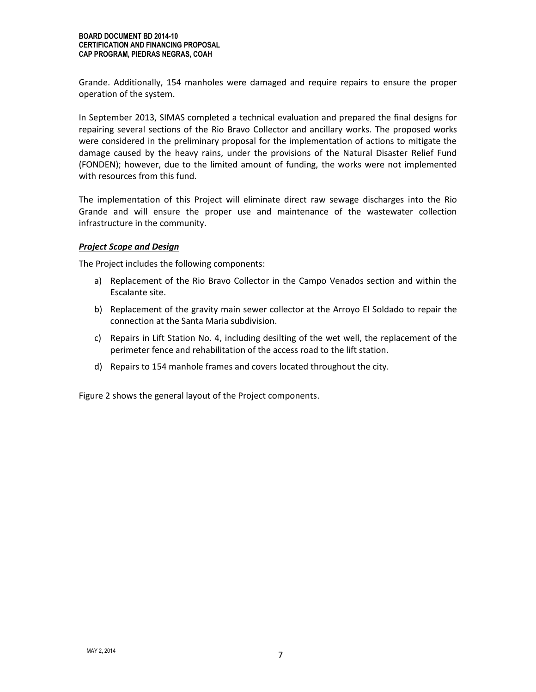#### **BOARD DOCUMENT BD 2014-10 CERTIFICATION AND FINANCING PROPOSAL CAP PROGRAM, PIEDRAS NEGRAS, COAH**

Grande. Additionally, 154 manholes were damaged and require repairs to ensure the proper operation of the system.

In September 2013, SIMAS completed a technical evaluation and prepared the final designs for repairing several sections of the Rio Bravo Collector and ancillary works. The proposed works were considered in the preliminary proposal for the implementation of actions to mitigate the damage caused by the heavy rains, under the provisions of the Natural Disaster Relief Fund (FONDEN); however, due to the limited amount of funding, the works were not implemented with resources from this fund.

The implementation of this Project will eliminate direct raw sewage discharges into the Rio Grande and will ensure the proper use and maintenance of the wastewater collection infrastructure in the community.

#### *Project Scope and Design*

The Project includes the following components:

- a) Replacement of the Rio Bravo Collector in the Campo Venados section and within the Escalante site.
- b) Replacement of the gravity main sewer collector at the Arroyo El Soldado to repair the connection at the Santa Maria subdivision.
- c) Repairs in Lift Station No. 4, including desilting of the wet well, the replacement of the perimeter fence and rehabilitation of the access road to the lift station.
- d) Repairs to 154 manhole frames and covers located throughout the city.

Figure 2 shows the general layout of the Project components.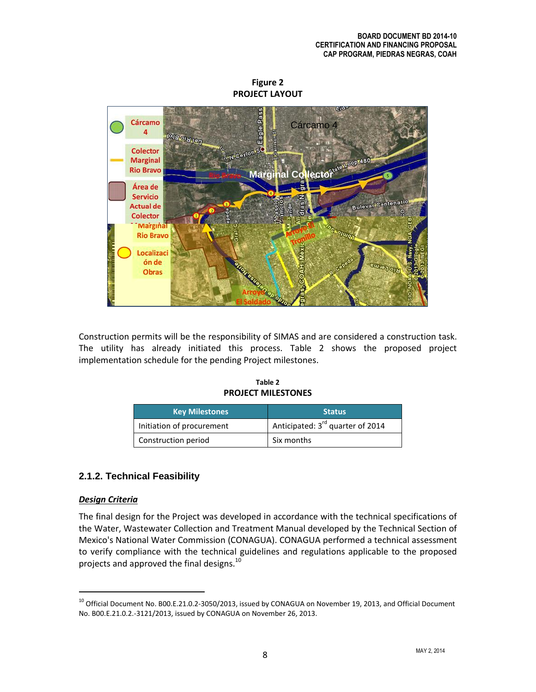**Figure 2 PROJECT LAYOUT**



Construction permits will be the responsibility of SIMAS and are considered a construction task. The utility has already initiated this process. Table 2 shows the proposed project implementation schedule for the pending Project milestones.

### **Table 2 PROJECT MILESTONES**

| <b>Key Milestones</b>     | <b>Status</b>                         |
|---------------------------|---------------------------------------|
| Initiation of procurement | Anticipated: $3^{rd}$ quarter of 2014 |
| Construction period       | Six months                            |

# **2.1.2. Technical Feasibility**

# *Design Criteria*

The final design for the Project was developed in accordance with the technical specifications of the Water, Wastewater Collection and Treatment Manual developed by the Technical Section of Mexico's National Water Commission (CONAGUA). CONAGUA performed a technical assessment to verify compliance with the technical guidelines and regulations applicable to the proposed projects and approved the final designs.<sup>10</sup>

<sup>&</sup>lt;sup>10</sup> Official Document No. B00.E.21.0.2-3050/2013, issued by CONAGUA on November 19, 2013, and Official Document No. B00.E.21.0.2.-3121/2013, issued by CONAGUA on November 26, 2013.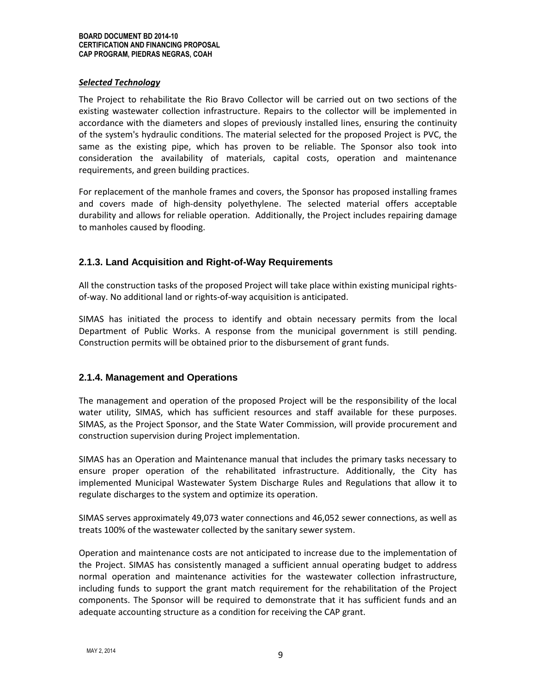#### *Selected Technology*

The Project to rehabilitate the Rio Bravo Collector will be carried out on two sections of the existing wastewater collection infrastructure. Repairs to the collector will be implemented in accordance with the diameters and slopes of previously installed lines, ensuring the continuity of the system's hydraulic conditions. The material selected for the proposed Project is PVC, the same as the existing pipe, which has proven to be reliable. The Sponsor also took into consideration the availability of materials, capital costs, operation and maintenance requirements, and green building practices.

For replacement of the manhole frames and covers, the Sponsor has proposed installing frames and covers made of high-density polyethylene. The selected material offers acceptable durability and allows for reliable operation. Additionally, the Project includes repairing damage to manholes caused by flooding.

# **2.1.3. Land Acquisition and Right-of-Way Requirements**

All the construction tasks of the proposed Project will take place within existing municipal rightsof-way. No additional land or rights-of-way acquisition is anticipated.

SIMAS has initiated the process to identify and obtain necessary permits from the local Department of Public Works. A response from the municipal government is still pending. Construction permits will be obtained prior to the disbursement of grant funds.

# **2.1.4. Management and Operations**

The management and operation of the proposed Project will be the responsibility of the local water utility, SIMAS, which has sufficient resources and staff available for these purposes. SIMAS, as the Project Sponsor, and the State Water Commission, will provide procurement and construction supervision during Project implementation.

SIMAS has an Operation and Maintenance manual that includes the primary tasks necessary to ensure proper operation of the rehabilitated infrastructure. Additionally, the City has implemented Municipal Wastewater System Discharge Rules and Regulations that allow it to regulate discharges to the system and optimize its operation.

SIMAS serves approximately 49,073 water connections and 46,052 sewer connections, as well as treats 100% of the wastewater collected by the sanitary sewer system.

Operation and maintenance costs are not anticipated to increase due to the implementation of the Project. SIMAS has consistently managed a sufficient annual operating budget to address normal operation and maintenance activities for the wastewater collection infrastructure, including funds to support the grant match requirement for the rehabilitation of the Project components. The Sponsor will be required to demonstrate that it has sufficient funds and an adequate accounting structure as a condition for receiving the CAP grant.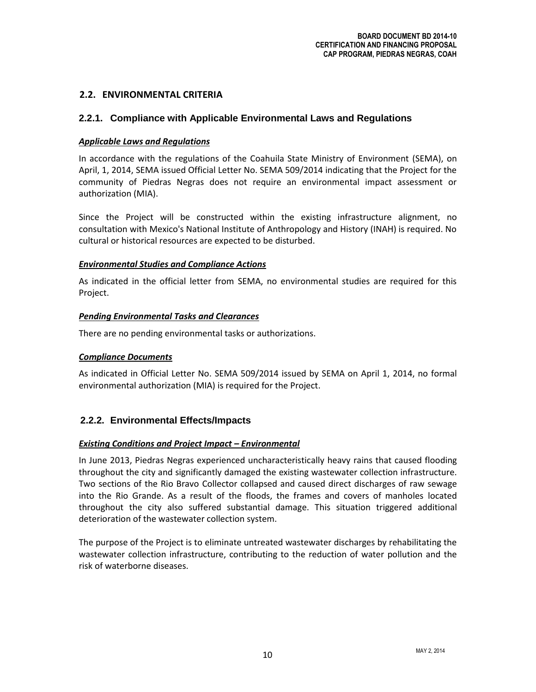## **2.2. ENVIRONMENTAL CRITERIA**

## **2.2.1. Compliance with Applicable Environmental Laws and Regulations**

#### *Applicable Laws and Regulations*

In accordance with the regulations of the Coahuila State Ministry of Environment (SEMA), on April, 1, 2014, SEMA issued Official Letter No. SEMA 509/2014 indicating that the Project for the community of Piedras Negras does not require an environmental impact assessment or authorization (MIA).

Since the Project will be constructed within the existing infrastructure alignment, no consultation with Mexico's National Institute of Anthropology and History (INAH) is required. No cultural or historical resources are expected to be disturbed.

#### *Environmental Studies and Compliance Actions*

As indicated in the official letter from SEMA, no environmental studies are required for this Project.

#### *Pending Environmental Tasks and Clearances*

There are no pending environmental tasks or authorizations.

#### *Compliance Documents*

As indicated in Official Letter No. SEMA 509/2014 issued by SEMA on April 1, 2014, no formal environmental authorization (MIA) is required for the Project.

### **2.2.2. Environmental Effects/Impacts**

#### *Existing Conditions and Project Impact – Environmental*

In June 2013, Piedras Negras experienced uncharacteristically heavy rains that caused flooding throughout the city and significantly damaged the existing wastewater collection infrastructure. Two sections of the Rio Bravo Collector collapsed and caused direct discharges of raw sewage into the Rio Grande. As a result of the floods, the frames and covers of manholes located throughout the city also suffered substantial damage. This situation triggered additional deterioration of the wastewater collection system.

The purpose of the Project is to eliminate untreated wastewater discharges by rehabilitating the wastewater collection infrastructure, contributing to the reduction of water pollution and the risk of waterborne diseases.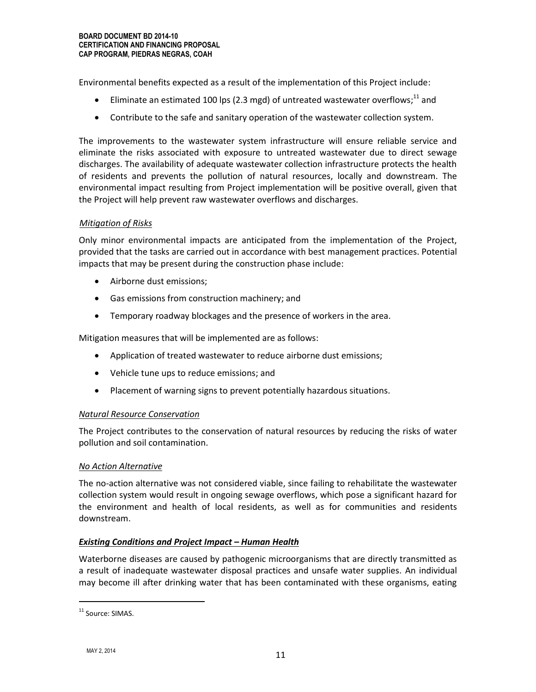Environmental benefits expected as a result of the implementation of this Project include:

- $\bullet$  Eliminate an estimated 100 lps (2.3 mgd) of untreated wastewater overflows;<sup>11</sup> and
- Contribute to the safe and sanitary operation of the wastewater collection system.

The improvements to the wastewater system infrastructure will ensure reliable service and eliminate the risks associated with exposure to untreated wastewater due to direct sewage discharges. The availability of adequate wastewater collection infrastructure protects the health of residents and prevents the pollution of natural resources, locally and downstream. The environmental impact resulting from Project implementation will be positive overall, given that the Project will help prevent raw wastewater overflows and discharges.

### *Mitigation of Risks*

Only minor environmental impacts are anticipated from the implementation of the Project, provided that the tasks are carried out in accordance with best management practices. Potential impacts that may be present during the construction phase include:

- Airborne dust emissions;
- Gas emissions from construction machinery; and
- Temporary roadway blockages and the presence of workers in the area.

Mitigation measures that will be implemented are as follows:

- Application of treated wastewater to reduce airborne dust emissions;
- Vehicle tune ups to reduce emissions; and
- Placement of warning signs to prevent potentially hazardous situations.

### *Natural Resource Conservation*

The Project contributes to the conservation of natural resources by reducing the risks of water pollution and soil contamination.

### *No Action Alternative*

The no-action alternative was not considered viable, since failing to rehabilitate the wastewater collection system would result in ongoing sewage overflows, which pose a significant hazard for the environment and health of local residents, as well as for communities and residents downstream.

### *Existing Conditions and Project Impact – Human Health*

Waterborne diseases are caused by pathogenic microorganisms that are directly transmitted as a result of inadequate wastewater disposal practices and unsafe water supplies. An individual may become ill after drinking water that has been contaminated with these organisms, eating

 $\overline{a}$ 

<sup>&</sup>lt;sup>11</sup> Source: SIMAS.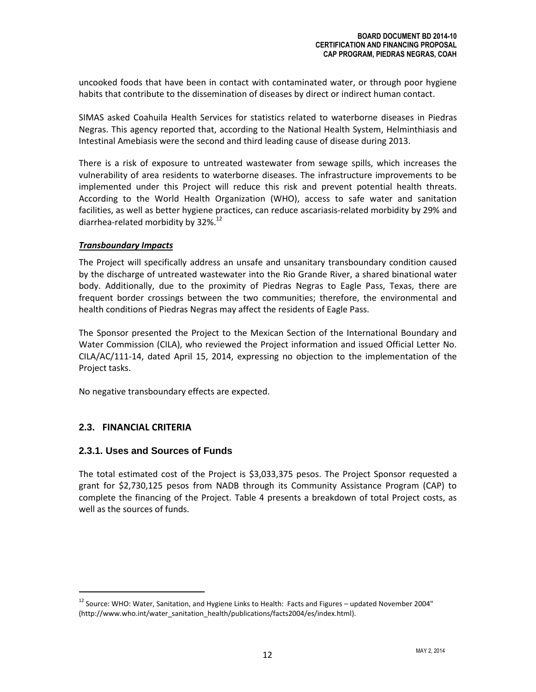uncooked foods that have been in contact with contaminated water, or through poor hygiene habits that contribute to the dissemination of diseases by direct or indirect human contact.

SIMAS asked Coahuila Health Services for statistics related to waterborne diseases in Piedras Negras. This agency reported that, according to the National Health System, Helminthiasis and Intestinal Amebiasis were the second and third leading cause of disease during 2013.

There is a risk of exposure to untreated wastewater from sewage spills, which increases the vulnerability of area residents to waterborne diseases. The infrastructure improvements to be implemented under this Project will reduce this risk and prevent potential health threats. According to the World Health Organization (WHO), access to safe water and sanitation facilities, as well as better hygiene practices, can reduce ascariasis-related morbidity by 29% and diarrhea-related morbidity by 32%.<sup>12</sup>

### *Transboundary Impacts*

The Project will specifically address an unsafe and unsanitary transboundary condition caused by the discharge of untreated wastewater into the Rio Grande River, a shared binational water body. Additionally, due to the proximity of Piedras Negras to Eagle Pass, Texas, there are frequent border crossings between the two communities; therefore, the environmental and health conditions of Piedras Negras may affect the residents of Eagle Pass.

The Sponsor presented the Project to the Mexican Section of the International Boundary and Water Commission (CILA), who reviewed the Project information and issued Official Letter No. CILA/AC/111-14, dated April 15, 2014, expressing no objection to the implementation of the Project tasks.

No negative transboundary effects are expected.

# **2.3. FINANCIAL CRITERIA**

### **2.3.1. Uses and Sources of Funds**

The total estimated cost of the Project is \$3,033,375 pesos. The Project Sponsor requested a grant for \$2,730,125 pesos from NADB through its Community Assistance Program (CAP) to complete the financing of the Project. Table 4 presents a breakdown of total Project costs, as well as the sources of funds.

<sup>&</sup>lt;sup>12</sup> Source: WHO: Water, Sanitation, and Hygiene Links to Health: Facts and Figures – updated November 2004" [\(http://www.who.int/water\\_sanitation\\_health/publications/facts2004/es/index.html\)](http://www.who.int/water_sanitation_health/publications/facts2004/es/index.html).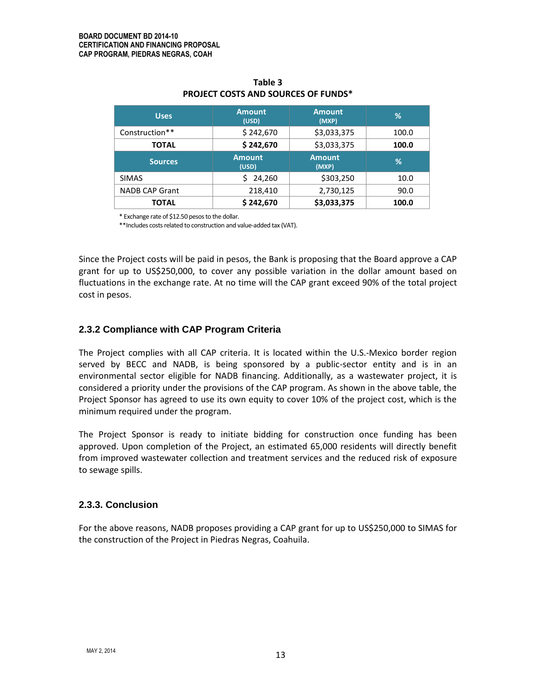| <b>Uses</b>           | <b>Amount</b><br>(USD) | <b>Amount</b><br>(MXP) | %     |
|-----------------------|------------------------|------------------------|-------|
| Construction**        | \$242,670              | \$3,033,375            | 100.0 |
| <b>TOTAL</b>          | \$242,670              | \$3,033,375            | 100.0 |
|                       |                        |                        |       |
| <b>Sources</b>        | <b>Amount</b><br>(USD) | <b>Amount</b><br>(MXP) | %     |
| <b>SIMAS</b>          | 24,260                 | \$303,250              | 10.0  |
| <b>NADB CAP Grant</b> | 218,410                | 2,730,125              | 90.0  |

### **Table 3 PROJECT COSTS AND SOURCES OF FUNDS\***

\* Exchange rate of \$12.50 pesos to the dollar.

\*\*Includes costs related to construction and value-added tax (VAT).

Since the Project costs will be paid in pesos, the Bank is proposing that the Board approve a CAP grant for up to US\$250,000, to cover any possible variation in the dollar amount based on fluctuations in the exchange rate. At no time will the CAP grant exceed 90% of the total project cost in pesos.

# **2.3.2 Compliance with CAP Program Criteria**

The Project complies with all CAP criteria. It is located within the U.S.‐Mexico border region served by BECC and NADB, is being sponsored by a public-sector entity and is in an environmental sector eligible for NADB financing. Additionally, as a wastewater project, it is considered a priority under the provisions of the CAP program. As shown in the above table, the Project Sponsor has agreed to use its own equity to cover 10% of the project cost, which is the minimum required under the program.

The Project Sponsor is ready to initiate bidding for construction once funding has been approved. Upon completion of the Project, an estimated 65,000 residents will directly benefit from improved wastewater collection and treatment services and the reduced risk of exposure to sewage spills.

# **2.3.3. Conclusion**

For the above reasons, NADB proposes providing a CAP grant for up to US\$250,000 to SIMAS for the construction of the Project in Piedras Negras, Coahuila.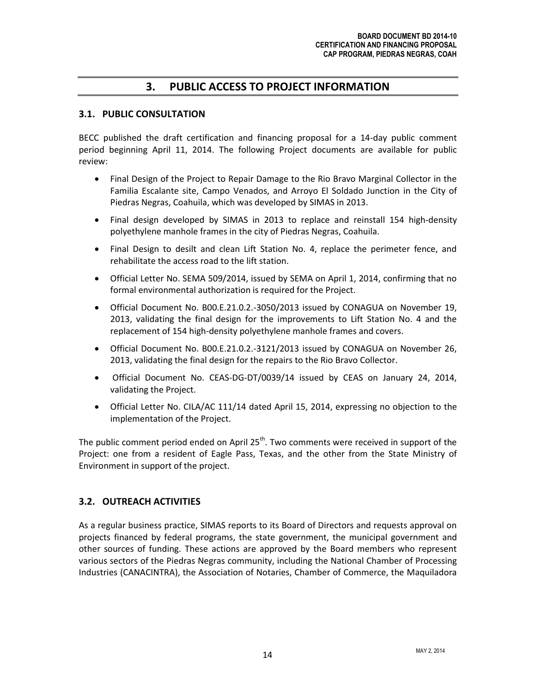# **3. PUBLIC ACCESS TO PROJECT INFORMATION**

### **3.1. PUBLIC CONSULTATION**

BECC published the draft certification and financing proposal for a 14-day public comment period beginning April 11, 2014. The following Project documents are available for public review:

- Final Design of the Project to Repair Damage to the Rio Bravo Marginal Collector in the Familia Escalante site, Campo Venados, and Arroyo El Soldado Junction in the City of Piedras Negras, Coahuila, which was developed by SIMAS in 2013.
- Final design developed by SIMAS in 2013 to replace and reinstall 154 high-density polyethylene manhole frames in the city of Piedras Negras, Coahuila.
- Final Design to desilt and clean Lift Station No. 4, replace the perimeter fence, and rehabilitate the access road to the lift station.
- Official Letter No. SEMA 509/2014, issued by SEMA on April 1, 2014, confirming that no formal environmental authorization is required for the Project.
- Official Document No. B00.E.21.0.2.-3050/2013 issued by CONAGUA on November 19, 2013, validating the final design for the improvements to Lift Station No. 4 and the replacement of 154 high-density polyethylene manhole frames and covers.
- Official Document No. B00.E.21.0.2.-3121/2013 issued by CONAGUA on November 26, 2013, validating the final design for the repairs to the Rio Bravo Collector.
- Official Document No. CEAS-DG-DT/0039/14 issued by CEAS on January 24, 2014, validating the Project.
- Official Letter No. CILA/AC 111/14 dated April 15, 2014, expressing no objection to the implementation of the Project.

The public comment period ended on April 25<sup>th</sup>. Two comments were received in support of the Project: one from a resident of Eagle Pass, Texas, and the other from the State Ministry of Environment in support of the project.

# **3.2. OUTREACH ACTIVITIES**

As a regular business practice, SIMAS reports to its Board of Directors and requests approval on projects financed by federal programs, the state government, the municipal government and other sources of funding. These actions are approved by the Board members who represent various sectors of the Piedras Negras community, including the National Chamber of Processing Industries (CANACINTRA), the Association of Notaries, Chamber of Commerce, the Maquiladora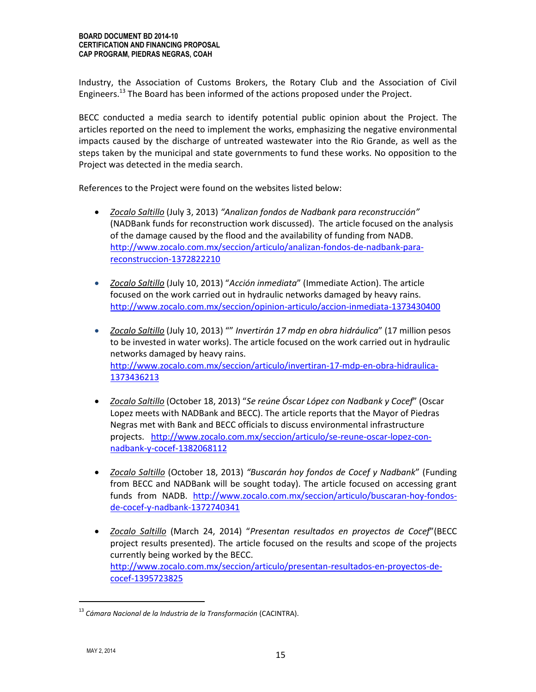Industry, the Association of Customs Brokers, the Rotary Club and the Association of Civil Engineers.<sup>13</sup> The Board has been informed of the actions proposed under the Project.

BECC conducted a media search to identify potential public opinion about the Project. The articles reported on the need to implement the works, emphasizing the negative environmental impacts caused by the discharge of untreated wastewater into the Rio Grande, as well as the steps taken by the municipal and state governments to fund these works. No opposition to the Project was detected in the media search.

References to the Project were found on the websites listed below:

- *Zocalo Saltillo* (July 3, 2013) *"Analizan fondos de Nadbank para reconstrucción"* (NADBank funds for reconstruction work discussed). The article focused on the analysis of the damage caused by the flood and the availability of funding from NADB. [http://www.zocalo.com.mx/seccion/articulo/analizan-fondos-de-nadbank-para](http://www.zocalo.com.mx/seccion/articulo/analizan-fondos-de-nadbank-para-reconstruccion-1372822210)[reconstruccion-1372822210](http://www.zocalo.com.mx/seccion/articulo/analizan-fondos-de-nadbank-para-reconstruccion-1372822210)
- *Zocalo Saltillo* (July 10, 2013) "*Acción inmediata*" (Immediate Action). The article focused on the work carried out in hydraulic networks damaged by heavy rains. <http://www.zocalo.com.mx/seccion/opinion-articulo/accion-inmediata-1373430400>
- *Zocalo Saltillo* (July 10, 2013) "" *Invertirán 17 mdp en obra hidráulica*" (17 million pesos to be invested in water works). The article focused on the work carried out in hydraulic networks damaged by heavy rains. [http://www.zocalo.com.mx/seccion/articulo/invertiran-17-mdp-en-obra-hidraulica-](http://www.zocalo.com.mx/seccion/articulo/invertiran-17-mdp-en-obra-hidraulica-1373436213)[1373436213](http://www.zocalo.com.mx/seccion/articulo/invertiran-17-mdp-en-obra-hidraulica-1373436213)
- *Zocalo Saltillo* (October 18, 2013) "*Se reúne Óscar López con Nadbank y Cocef*" (Oscar Lopez meets with NADBank and BECC). The article reports that the Mayor of Piedras Negras met with Bank and BECC officials to discuss environmental infrastructure projects. [http://www.zocalo.com.mx/seccion/articulo/se-reune-oscar-lopez-con](http://www.zocalo.com.mx/seccion/articulo/se-reune-oscar-lopez-con-nadbank-y-cocef-1382068112)[nadbank-y-cocef-1382068112](http://www.zocalo.com.mx/seccion/articulo/se-reune-oscar-lopez-con-nadbank-y-cocef-1382068112)
- *Zocalo Saltillo* (October 18, 2013) *"Buscarán hoy fondos de Cocef y Nadbank*" (Funding from BECC and NADBank will be sought today). The article focused on accessing grant funds from NADB. [http://www.zocalo.com.mx/seccion/articulo/buscaran-hoy-fondos](http://www.zocalo.com.mx/seccion/articulo/buscaran-hoy-fondos-de-cocef-y-nadbank-1372740341)[de-cocef-y-nadbank-1372740341](http://www.zocalo.com.mx/seccion/articulo/buscaran-hoy-fondos-de-cocef-y-nadbank-1372740341)
- *Zocalo Saltillo* (March 24, 2014) "*Presentan resultados en proyectos de Cocef*"(BECC project results presented). The article focused on the results and scope of the projects currently being worked by the BECC. [http://www.zocalo.com.mx/seccion/articulo/presentan-resultados-en-proyectos-de](http://www.zocalo.com.mx/seccion/articulo/presentan-resultados-en-proyectos-de-cocef-1395723825)[cocef-1395723825](http://www.zocalo.com.mx/seccion/articulo/presentan-resultados-en-proyectos-de-cocef-1395723825)

 $\overline{a}$ 

<sup>13</sup> *Cámara Nacional de la Industria de la Transformación* (CACINTRA).